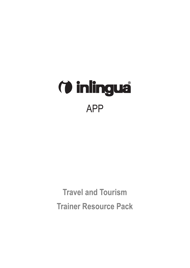

**Travel and Tourism Trainer Resource Pack**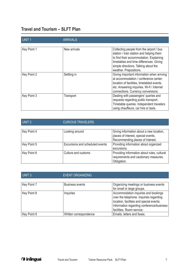## **Travel and Tourism – SLFT Plan**

| UNIT <sub>1</sub> | <b>ARRIVALS</b> |                                                                                                                                                                                                                    |
|-------------------|-----------------|--------------------------------------------------------------------------------------------------------------------------------------------------------------------------------------------------------------------|
| Key Point 1       | New arrivals    | Collecting people from the airport / bus<br>station / train station and helping them<br>to find their accommodation. Explaining<br>timetables and time differences. Giving<br>simple directions. Talking about the |
| Key Point 2       | Settling in     | weather. Prepositions.<br>Giving important information when arriving                                                                                                                                               |
|                   |                 | at accommodation / conference center;<br>location of facilities, timetabled events,<br>etc. Answering inquiries. Wi-fi / Internet<br>connections. Currency conversions.                                            |
| Key Point 3       | Transport       | Dealing with passengers' queries and<br>requests regarding public transport.<br>Timetable queries. Independent travelers<br>using chauffeurs, car hire or taxis.                                                   |

| UNIT <sub>2</sub> | <b>CURIOUS TRAVELERS</b>        |                                                                                                                     |
|-------------------|---------------------------------|---------------------------------------------------------------------------------------------------------------------|
| Key Point 4       | Looking around                  | Giving information about a new location,<br>places of interest, special events.<br>Recommending places of interest. |
| Key Point 5       | Excursions and scheduled events | Providing information about organized<br>excursions.                                                                |
| Key Point 6       | Culture and customs             | Providing information about rules, cultural<br>requirements and cautionary measures.<br>Obligation.                 |

| UNIT <sub>3</sub> | <b>EVENT ORGANIZING</b> |                                                                                                                                                                          |  |
|-------------------|-------------------------|--------------------------------------------------------------------------------------------------------------------------------------------------------------------------|--|
| Key Point 7       | <b>Business events</b>  | Organizing meetings or business events<br>for small or large groups.                                                                                                     |  |
| Key Point 8       | Inquiries               | Accommodation inquiries and bookings<br>over the telephone. Inquiries regarding<br>location, facilities and special events.<br>Information regarding conference/business |  |
| Key Point 9       | Written correspondence  | facilities. Room service.<br>Emails, letters and faxes.                                                                                                                  |  |

(*i* inlingua